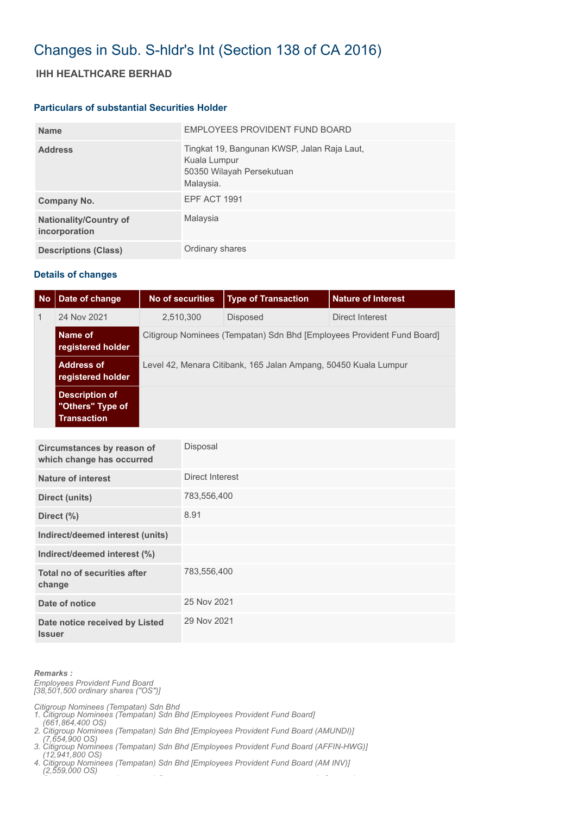## Changes in Sub. S-hldr's Int (Section 138 of CA 2016)

### **IHH HEALTHCARE BERHAD**

#### **Particulars of substantial Securities Holder**

| <b>Name</b>                                    | EMPLOYEES PROVIDENT FUND BOARD                                                                        |
|------------------------------------------------|-------------------------------------------------------------------------------------------------------|
| <b>Address</b>                                 | Tingkat 19, Bangunan KWSP, Jalan Raja Laut,<br>Kuala Lumpur<br>50350 Wilayah Persekutuan<br>Malaysia. |
| Company No.                                    | EPF ACT 1991                                                                                          |
| <b>Nationality/Country of</b><br>incorporation | Malaysia                                                                                              |
| <b>Descriptions (Class)</b>                    | Ordinary shares                                                                                       |

### **Details of changes**

| <b>No</b>    | Date of change                                                  | No of securities                                                       | <b>Type of Transaction</b> | <b>Nature of Interest</b> |  |  |
|--------------|-----------------------------------------------------------------|------------------------------------------------------------------------|----------------------------|---------------------------|--|--|
| $\mathbf{1}$ | 24 Nov 2021                                                     | 2,510,300                                                              | <b>Disposed</b>            | Direct Interest           |  |  |
|              | Name of<br>registered holder                                    | Citigroup Nominees (Tempatan) Sdn Bhd [Employees Provident Fund Board] |                            |                           |  |  |
|              | <b>Address of</b><br>registered holder                          | Level 42, Menara Citibank, 165 Jalan Ampang, 50450 Kuala Lumpur        |                            |                           |  |  |
|              | <b>Description of</b><br>"Others" Type of<br><b>Transaction</b> |                                                                        |                            |                           |  |  |

| Circumstances by reason of<br>which change has occurred | Disposal        |
|---------------------------------------------------------|-----------------|
| Nature of interest                                      | Direct Interest |
| Direct (units)                                          | 783,556,400     |
| Direct (%)                                              | 8.91            |
| Indirect/deemed interest (units)                        |                 |
| Indirect/deemed interest (%)                            |                 |
| Total no of securities after<br>change                  | 783,556,400     |
| Date of notice                                          | 25 Nov 2021     |
| Date notice received by Listed<br><b>Issuer</b>         | 29 Nov 2021     |

*Remarks : Employees Provident Fund Board [38,501,500 ordinary shares ("OS")]*

*Citigroup Nominees (Tempatan) Sdn Bhd* 

- *1. Citigroup Nominees (Tempatan) Sdn Bhd [Employees Provident Fund Board]*
- *(661,864,400 OS) 2. Citigroup Nominees (Tempatan) Sdn Bhd [Employees Provident Fund Board (AMUNDI)]*
- *(7,654,900 OS) 3. Citigroup Nominees (Tempatan) Sdn Bhd [Employees Provident Fund Board (AFFIN-HWG)]*
- *(12,941,800 OS) 4. Citigroup Nominees (Tempatan) Sdn Bhd [Employees Provident Fund Board (AM INV)]*
- *(2,559,000 OS) C ( ) S ( O )*